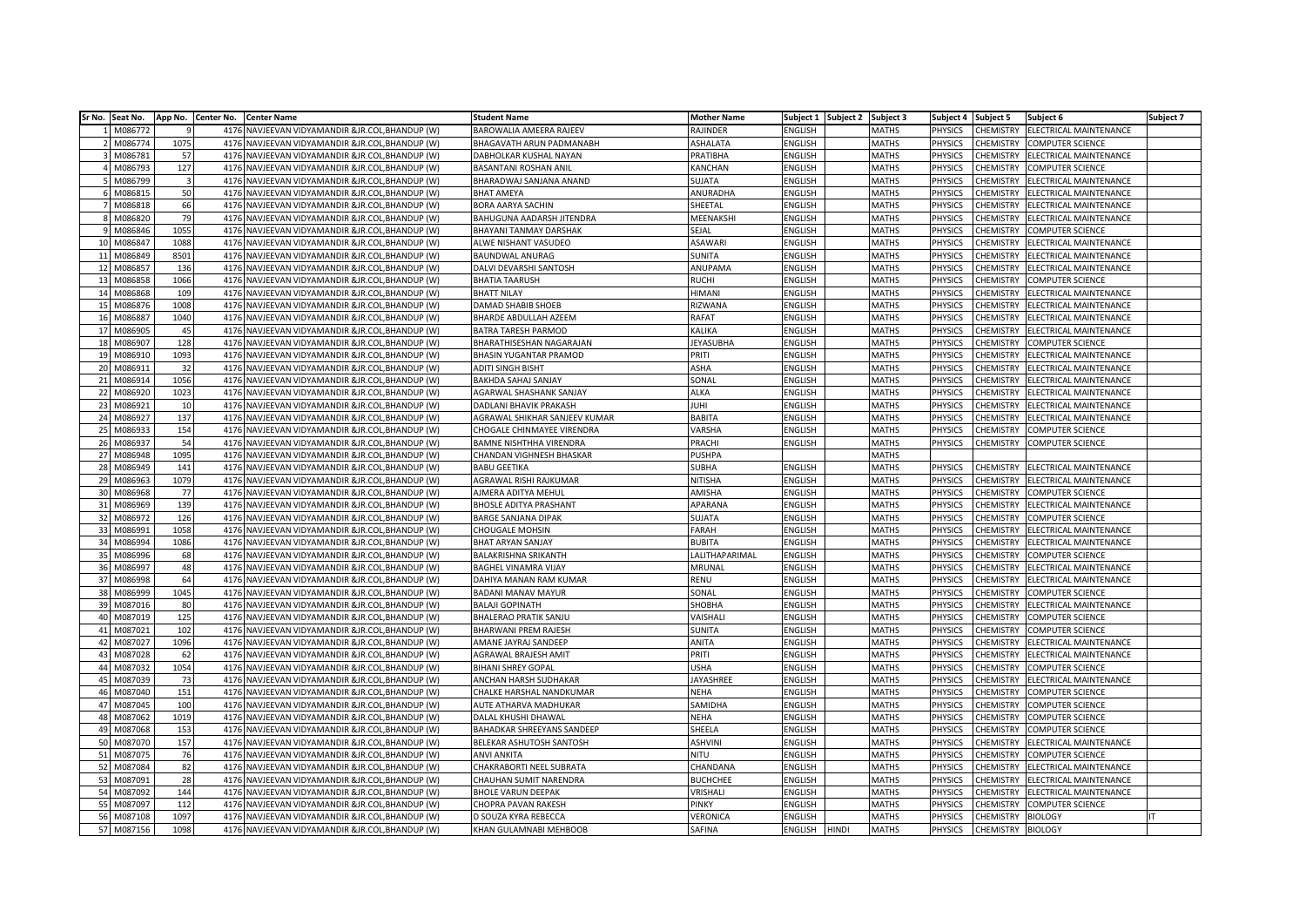| Sr No. Seat No. | App No. Center No.      |      | <b>Center Name</b>                              | <b>Student Name</b>           | <b>Mother Name</b> | Subject 1      | Subject 2    | Subject 3    | Subject 4      | Subject 5        | Subject 6                     | Subject 7 |
|-----------------|-------------------------|------|-------------------------------------------------|-------------------------------|--------------------|----------------|--------------|--------------|----------------|------------------|-------------------------------|-----------|
| M086772         |                         |      | 4176 NAVJEEVAN VIDYAMANDIR &JR.COL, BHANDUP (W) | BAROWALIA AMEERA RAJEEV       | RAJINDER           | <b>ENGLISH</b> |              | MATHS        | PHYSICS        | CHEMISTRY        | ELECTRICAL MAINTENANCE        |           |
| M086774         | 1075                    | 4176 | NAVJEEVAN VIDYAMANDIR &JR.COL, BHANDUP (W)      | BHAGAVATH ARUN PADMANABH      | ASHALATA           | <b>ENGLISH</b> |              | <b>MATHS</b> | PHYSICS        | CHEMISTRY        | <b>COMPUTER SCIENCE</b>       |           |
| M086781         | 57                      | 4176 | NAVJEEVAN VIDYAMANDIR &JR.COL, BHANDUP (W)      | DABHOLKAR KUSHAL NAYAN        | PRATIBHA           | <b>ENGLISH</b> |              | <b>MATHS</b> | PHYSICS        | CHEMISTRY        | ELECTRICAL MAINTENANCE        |           |
| M086793         | 127                     | 4176 | NAVJEEVAN VIDYAMANDIR &JR.COL,BHANDUP (W)       | BASANTANI ROSHAN ANIL         | KANCHAN            | <b>ENGLISH</b> |              | MATHS        | PHYSICS        | CHEMISTRY        | <b>COMPUTER SCIENCE</b>       |           |
| M086799         | $\overline{\mathbf{3}}$ | 4176 | NAVJEEVAN VIDYAMANDIR &JR.COL, BHANDUP (W)      | BHARADWAJ SANJANA ANAND       | SUJATA             | <b>ENGLISH</b> |              | <b>MATHS</b> | PHYSICS        | <b>CHEMISTRY</b> | ELECTRICAL MAINTENANCE        |           |
| M086815         | 50                      | 4176 | NAVJEEVAN VIDYAMANDIR &JR.COL, BHANDUP (W)      | <b>BHAT AMEYA</b>             | ANURADHA           | <b>ENGLISH</b> |              | <b>MATHS</b> | PHYSICS        | CHEMISTRY        | <b>ELECTRICAL MAINTENANCE</b> |           |
| 7 M086818       | 66                      | 4176 | NAVJEEVAN VIDYAMANDIR &JR.COL, BHANDUP (W)      | BORA AARYA SACHIN             | SHEETAL            | <b>ENGLISH</b> |              | MATHS        | PHYSICS        | <b>CHEMISTRY</b> | ELECTRICAL MAINTENANCE        |           |
| M086820         | 79                      |      | 4176 NAVJEEVAN VIDYAMANDIR &JR.COL, BHANDUP (W) | BAHUGUNA AADARSH JITENDRA     | MEENAKSHI          | <b>ENGLISH</b> |              | <b>MATHS</b> | PHYSICS        | CHEMISTRY        | ELECTRICAL MAINTENANCE        |           |
| M086846         | 1055                    | 4176 | NAVJEEVAN VIDYAMANDIR &JR.COL,BHANDUP (W)       | BHAYANI TANMAY DARSHAK        | SEJAL              | <b>ENGLISH</b> |              | <b>MATHS</b> | PHYSICS        | CHEMISTRY        | <b>COMPUTER SCIENCE</b>       |           |
| M086847<br>10   | 1088                    | 4176 | NAVJEEVAN VIDYAMANDIR &JR.COL, BHANDUP (W)      | ALWE NISHANT VASUDEO          | ASAWARI            | <b>ENGLISH</b> |              | MATHS        | PHYSICS        | CHEMISTRY        | ELECTRICAL MAINTENANCE        |           |
| M086849<br>11   | 8501                    | 4176 | NAVJEEVAN VIDYAMANDIR &JR.COL, BHANDUP (W)      | <b>BAUNDWAL ANURAG</b>        | SUNITA             | <b>ENGLISH</b> |              | MATHS        | PHYSICS        | CHEMISTRY        | ELECTRICAL MAINTENANCE        |           |
| 12<br>M086857   | 136                     | 4176 | NAVJEEVAN VIDYAMANDIR &JR.COL,BHANDUP (W)       | DALVI DEVARSHI SANTOSH        | ANUPAMA            | <b>ENGLISH</b> |              | MATHS        | PHYSICS        | <b>CHEMISTRY</b> | ELECTRICAL MAINTENANCE        |           |
| 13<br>M086858   | 1066                    | 4176 | NAVJEEVAN VIDYAMANDIR &JR.COL, BHANDUP (W)      | <b>BHATIA TAARUSH</b>         | RUCHI              | <b>ENGLISH</b> |              | MATHS        | PHYSICS        | CHEMISTRY        | <b>COMPUTER SCIENCE</b>       |           |
| 14<br>M086868   | 109                     | 4176 | NAVJEEVAN VIDYAMANDIR &JR.COL, BHANDUP (W)      | <b>BHATT NILAY</b>            | HIMANI             | <b>ENGLISH</b> |              | <b>MATHS</b> | PHYSICS        | CHEMISTRY        | ELECTRICAL MAINTENANCE        |           |
| M086876<br>15   | 1008                    | 4176 | NAVJEEVAN VIDYAMANDIR &JR.COL, BHANDUP (W)      | DAMAD SHABIB SHOEB            | RIZWANA            | <b>ENGLISH</b> |              | MATHS        | PHYSICS        | CHEMISTRY        | ELECTRICAL MAINTENANCE        |           |
| M086887<br>16   | 1040                    | 4176 | NAVJEEVAN VIDYAMANDIR &JR.COL,BHANDUP (W)       | BHARDE ABDULLAH AZEEM         | RAFAT              | <b>ENGLISH</b> |              | <b>MATHS</b> | PHYSICS        | CHEMISTRY        | ELECTRICAL MAINTENANCE        |           |
| 17<br>M086905   | 45                      | 4176 | NAVJEEVAN VIDYAMANDIR &JR.COL, BHANDUP (W)      | BATRA TARESH PARMOD           | KALIKA             | <b>ENGLISH</b> |              | MATHS        | PHYSICS        | CHEMISTRY        | ELECTRICAL MAINTENANCE        |           |
| M086907<br>18   | 128                     | 4176 | NAVJEEVAN VIDYAMANDIR &JR.COL, BHANDUP (W)      | BHARATHISESHAN NAGARAJAN      | <b>JEYASUBHA</b>   | <b>ENGLISH</b> |              | <b>MATHS</b> | PHYSICS        | CHEMISTRY        | <b>COMPUTER SCIENCE</b>       |           |
| 19<br>M086910   | 1093                    | 4176 | NAVJEEVAN VIDYAMANDIR &JR.COL,BHANDUP (W)       | <b>BHASIN YUGANTAR PRAMOD</b> | PRITI              | <b>ENGLISH</b> |              | <b>MATHS</b> | PHYSICS        | CHEMISTRY        | ELECTRICAL MAINTENANCE        |           |
| 20<br>M086911   | 32                      | 4176 | NAVJEEVAN VIDYAMANDIR &JR.COL, BHANDUP (W)      | <b>ADITI SINGH BISHT</b>      | <b>ASHA</b>        | <b>ENGLISH</b> |              | <b>MATHS</b> | PHYSICS        | CHEMISTRY        | ELECTRICAL MAINTENANCE        |           |
| 21<br>M086914   | 1056                    |      | 4176 NAVJEEVAN VIDYAMANDIR &JR.COL, BHANDUP (W) | BAKHDA SAHAJ SANJAY           | SONAL              | ENGLISH        |              | <b>MATHS</b> | PHYSICS        | CHEMISTRY        | ELECTRICAL MAINTENANCE        |           |
| M086920<br>22   | 1023                    | 4176 | NAVJEEVAN VIDYAMANDIR &JR.COL, BHANDUP (W)      | AGARWAL SHASHANK SANJAY       | ALKA               | <b>ENGLISH</b> |              | MATHS        | PHYSICS        | CHEMISTRY        | ELECTRICAL MAINTENANCE        |           |
| M086921<br>23   | 10                      | 4176 | NAVJEEVAN VIDYAMANDIR &JR.COL,BHANDUP (W)       | DADLANI BHAVIK PRAKASH        | JUHI               | <b>ENGLISH</b> |              | <b>MATHS</b> | PHYSICS        | CHEMISTRY        | ELECTRICAL MAINTENANCE        |           |
| 24<br>M086927   | 137                     | 4176 | NAVJEEVAN VIDYAMANDIR &JR.COL, BHANDUP (W)      | AGRAWAL SHIKHAR SANJEEV KUMAR | <b>BABITA</b>      | <b>ENGLISH</b> |              | MATHS        | <b>PHYSICS</b> | CHEMISTRY        | ELECTRICAL MAINTENANCE        |           |
| M086933<br>25   | 154                     | 4176 | NAVJEEVAN VIDYAMANDIR &JR.COL, BHANDUP (W)      | CHOGALE CHINMAYEE VIRENDRA    | VARSHA             | <b>ENGLISH</b> |              | <b>MATHS</b> | PHYSICS        | CHEMISTRY        | <b>COMPUTER SCIENCE</b>       |           |
| M086937<br>26   | 54                      | 4176 | NAVJEEVAN VIDYAMANDIR &JR.COL,BHANDUP (W)       | BAMNE NISHTHHA VIRENDRA       | PRACHI             | <b>ENGLISH</b> |              | <b>MATHS</b> | PHYSICS        | CHEMISTRY        | <b>COMPUTER SCIENCE</b>       |           |
| 27<br>M086948   | 1095                    | 4176 | NAVJEEVAN VIDYAMANDIR &JR.COL, BHANDUP (W)      | CHANDAN VIGHNESH BHASKAR      | <b>PUSHPA</b>      |                |              | <b>MATHS</b> |                |                  |                               |           |
| M086949<br>28   | 141                     | 4176 | NAVJEEVAN VIDYAMANDIR &JR.COL,BHANDUP (W)       | <b>BABU GEETIKA</b>           | <b>SUBHA</b>       | <b>ENGLISH</b> |              | MATHS        | PHYSICS        | CHEMISTRY        | ELECTRICAL MAINTENANCE        |           |
| M086963<br>29   | 1079                    | 4176 | NAVJEEVAN VIDYAMANDIR &JR.COL, BHANDUP (W)      | AGRAWAL RISHI RAJKUMAR        | NITISHA            | <b>ENGLISH</b> |              | MATHS        | PHYSICS        | CHEMISTRY        | ELECTRICAL MAINTENANCE        |           |
| 30<br>M086968   | 77                      | 4176 | NAVJEEVAN VIDYAMANDIR &JR.COL, BHANDUP (W)      | AJMERA ADITYA MEHUL           | AMISHA             | <b>ENGLISH</b> |              | MATHS        | PHYSICS        | CHEMISTRY        | <b>COMPUTER SCIENCE</b>       |           |
| 31<br>M086969   | 139                     | 4176 | NAVJEEVAN VIDYAMANDIR &JR.COL, BHANDUP (W)      | <b>BHOSLE ADITYA PRASHANT</b> | APARANA            | <b>ENGLISH</b> |              | <b>MATHS</b> | PHYSICS        | CHEMISTRY        | ELECTRICAL MAINTENANCE        |           |
| M086972<br>32   | 126                     |      | 4176 NAVJEEVAN VIDYAMANDIR &JR.COL, BHANDUP (W) | <b>BARGE SANJANA DIPAK</b>    | SUJATA             | <b>ENGLISH</b> |              | <b>MATHS</b> | PHYSICS        | CHEMISTRY        | <b>COMPUTER SCIENCE</b>       |           |
| M086991<br>33   | 1058                    | 4176 | NAVJEEVAN VIDYAMANDIR &JR.COL,BHANDUP (W)       | CHOUGALE MOHSIN               | <b>FARAH</b>       | <b>ENGLISH</b> |              | <b>MATHS</b> | PHYSICS        | CHEMISTRY        | ELECTRICAL MAINTENANCE        |           |
| M086994<br>34   | 1086                    | 4176 | NAVJEEVAN VIDYAMANDIR &JR.COL, BHANDUP (W)      | <b>BHAT ARYAN SANJAY</b>      | <b>BUBITA</b>      | <b>ENGLISH</b> |              | MATHS        | PHYSICS        | CHEMISTRY        | ELECTRICAL MAINTENANCE        |           |
| M086996<br>35   | 68                      | 4176 | NAVJEEVAN VIDYAMANDIR &JR.COL, BHANDUP (W)      | BALAKRISHNA SRIKANTH          | LALITHAPARIMAL     | <b>ENGLISH</b> |              | MATHS        | PHYSICS        | CHEMISTRY        | <b>COMPUTER SCIENCE</b>       |           |
| M086997<br>36   | 48                      | 4176 | NAVJEEVAN VIDYAMANDIR &JR.COL, BHANDUP (W)      | BAGHEL VINAMRA VIJAY          | MRUNAL             | <b>ENGLISH</b> |              | <b>MATHS</b> | PHYSICS        | CHEMISTRY        | ELECTRICAL MAINTENANCE        |           |
| 37<br>M086998   | 64                      | 4176 | NAVJEEVAN VIDYAMANDIR &JR.COL, BHANDUP (W)      | DAHIYA MANAN RAM KUMAR        | RENU               | <b>ENGLISH</b> |              | <b>MATHS</b> | PHYSICS        | CHEMISTRY        | ELECTRICAL MAINTENANCE        |           |
| M086999<br>38   | 1045                    | 4176 | NAVJEEVAN VIDYAMANDIR &JR.COL, BHANDUP (W)      | <b>BADANI MANAV MAYUR</b>     | SONAL              | <b>ENGLISH</b> |              | MATHS        | PHYSICS        | CHEMISTRY        | <b>COMPUTER SCIENCE</b>       |           |
| 39<br>M087016   | 80                      | 4176 | NAVJEEVAN VIDYAMANDIR &JR.COL, BHANDUP (W)      | <b>BALAJI GOPINATH</b>        | SHOBHA             | <b>ENGLISH</b> |              | <b>MATHS</b> | PHYSICS        | CHEMISTRY        | ELECTRICAL MAINTENANCE        |           |
| M087019<br>40   | 125                     | 4176 | NAVJEEVAN VIDYAMANDIR &JR.COL,BHANDUP (W)       | BHALERAO PRATIK SANJU         | VAISHALI           | ENGLISH        |              | <b>MATHS</b> | PHYSICS        | CHEMISTRY        | <b>COMPUTER SCIENCE</b>       |           |
| M087021<br>41   | 102                     | 4176 | NAVJEEVAN VIDYAMANDIR &JR.COL, BHANDUP (W)      | BHARWANI PREM RAJESH          | SUNITA             | <b>ENGLISH</b> |              | MATHS        | PHYSICS        | CHEMISTRY        | <b>COMPUTER SCIENCE</b>       |           |
| M087027<br>42   | 1096                    | 4176 | NAVJEEVAN VIDYAMANDIR &JR.COL, BHANDUP (W)      | AMANE JAYRAJ SANDEEP          | ANITA              | ENGLISH        |              | <b>MATHS</b> | PHYSICS        | CHEMISTRY        | ELECTRICAL MAINTENANCE        |           |
| M087028<br>43   | 62                      | 4176 | NAVJEEVAN VIDYAMANDIR &JR.COL, BHANDUP (W)      | AGRAWAL BRAJESH AMIT          | PRITI              | <b>ENGLISH</b> |              | <b>MATHS</b> | PHYSICS        | CHEMISTRY        | ELECTRICAL MAINTENANCE        |           |
| 44<br>M087032   | 1054                    | 4176 | NAVJEEVAN VIDYAMANDIR &JR.COL, BHANDUP (W)      | <b>BIHANI SHREY GOPAL</b>     | <b>USHA</b>        | <b>ENGLISH</b> |              | <b>MATHS</b> | PHYSICS        | <b>CHEMISTRY</b> | <b>COMPUTER SCIENCE</b>       |           |
| M087039<br>45   | 73                      | 4176 | NAVJEEVAN VIDYAMANDIR &JR.COL, BHANDUP (W)      | ANCHAN HARSH SUDHAKAR         | JAYASHREE          | <b>ENGLISH</b> |              | MATHS        | PHYSICS        | CHEMISTRY        | ELECTRICAL MAINTENANCE        |           |
| M087040<br>46   | 151                     |      | 4176 NAVJEEVAN VIDYAMANDIR &JR.COL, BHANDUP (W) | CHALKE HARSHAL NANDKUMAR      | NEHA               | <b>ENGLISH</b> |              | MATHS        | PHYSICS        | CHEMISTRY        | <b>COMPUTER SCIENCE</b>       |           |
| M087045<br>47   | 100                     | 4176 | NAVJEEVAN VIDYAMANDIR &JR.COL,BHANDUP (W)       | AUTE ATHARVA MADHUKAR         | SAMIDHA            | <b>ENGLISH</b> |              | MATHS        | PHYSICS        | <b>CHEMISTR</b>  | <b>COMPUTER SCIENCE</b>       |           |
| M087062<br>48   | 1019                    | 4176 | NAVJEEVAN VIDYAMANDIR &JR.COL, BHANDUP (W)      | DALAL KHUSHI DHAWAL           | NEHA               | <b>ENGLISH</b> |              | MATHS        | PHYSICS        | CHEMISTRY        | <b>COMPUTER SCIENCE</b>       |           |
| M087068<br>49   | 153                     | 4176 | NAVJEEVAN VIDYAMANDIR &JR.COL, BHANDUP (W)      | BAHADKAR SHREEYANS SANDEEP    | SHEELA             | <b>ENGLISH</b> |              | <b>MATHS</b> | PHYSICS        | <b>CHEMISTRY</b> | <b>COMPUTER SCIENCE</b>       |           |
| 50<br>M087070   | 157                     | 4176 | NAVJEEVAN VIDYAMANDIR &JR.COL,BHANDUP (W)       | BELEKAR ASHUTOSH SANTOSH      | <b>ASHVINI</b>     | <b>ENGLISH</b> |              | <b>MATHS</b> | PHYSICS        | CHEMISTRY        | ELECTRICAL MAINTENANCE        |           |
| M087075<br>51   | 76                      |      | 4176 NAVJEEVAN VIDYAMANDIR &JR.COL, BHANDUP (W) | <b>ANVI ANKITA</b>            | NITU               | <b>ENGLISH</b> |              | MATHS        | PHYSICS        | CHEMISTRY        | <b>COMPUTER SCIENCE</b>       |           |
| 52<br>M087084   | 82                      | 4176 | NAVJEEVAN VIDYAMANDIR &JR.COL, BHANDUP (W)      | CHAKRABORTI NEEL SUBRATA      | CHANDANA           | <b>ENGLISH</b> |              | <b>MATHS</b> | PHYSICS        | CHEMISTRY        | ELECTRICAL MAINTENANCE        |           |
| M087091<br>53   | 28                      |      | 4176 NAVJEEVAN VIDYAMANDIR &JR.COL, BHANDUP (W) | CHAUHAN SUMIT NARENDRA        | <b>BUCHCHEE</b>    | <b>ENGLISH</b> |              | MATHS        | PHYSICS        | CHEMISTRY        | ELECTRICAL MAINTENANCE        |           |
| 54<br>M087092   | 144                     | 4176 | NAVJEEVAN VIDYAMANDIR &JR.COL,BHANDUP (W)       | <b>BHOLE VARUN DEEPAK</b>     | VRISHALI           | <b>ENGLISH</b> |              | <b>MATHS</b> | PHYSICS        | CHEMISTRY        | ELECTRICAL MAINTENANCE        |           |
| 55<br>M087097   | 112                     | 4176 | NAVJEEVAN VIDYAMANDIR &JR.COL, BHANDUP (W)      | CHOPRA PAVAN RAKESH           | PINKY              | <b>ENGLISH</b> |              | MATHS        | PHYSICS        | CHEMISTRY        | <b>COMPUTER SCIENCE</b>       |           |
| 56<br>M087108   | 1097                    | 4176 | NAVJEEVAN VIDYAMANDIR &JR.COL.BHANDUP (W)       | D SOUZA KYRA REBECCA          | VERONICA           | <b>ENGLISH</b> |              | <b>MATHS</b> | PHYSICS        | CHEMISTRY        | <b>BIOLOGY</b>                |           |
| 57 M087156      | 1098                    |      | 4176 NAVJEEVAN VIDYAMANDIR &JR.COL, BHANDUP (W) | KHAN GULAMNABI MEHBOOB        | SAFINA             | <b>ENGLISH</b> | <b>HINDI</b> | <b>MATHS</b> | PHYSICS        | <b>CHEMISTRY</b> | <b>BIOLOGY</b>                |           |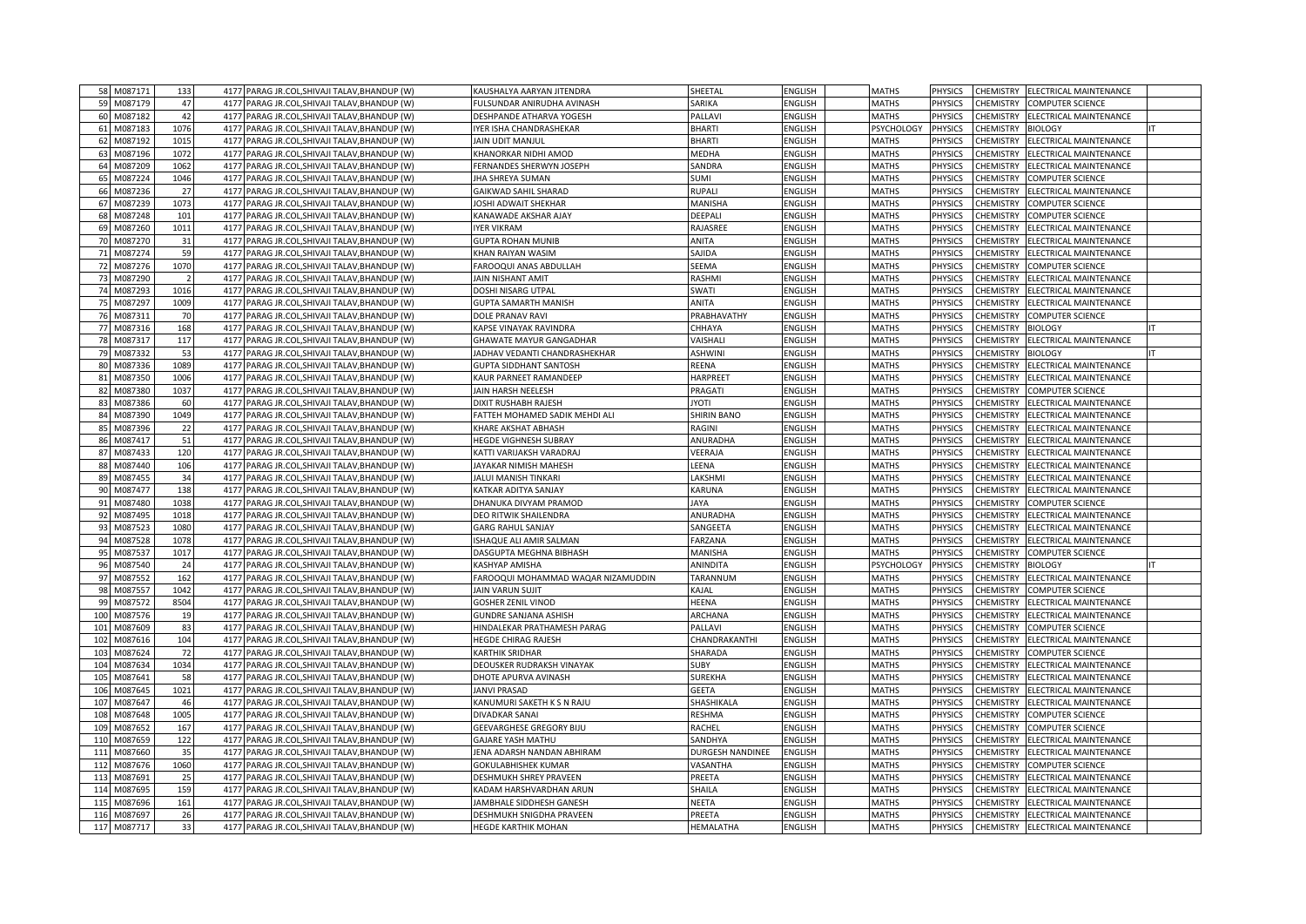|     | 58 M087171  | 133            | PARAG JR.COL, SHIVAJI TALAV, BHANDUP (W)<br>4177         | KAUSHALYA AARYAN JITENDRA          | SHEETAL                 | ENGLISH        | <b>MATHS</b> | <b>PHYSICS</b> | CHEMISTRY<br>ELECTRICAL MAINTENANCE                          |
|-----|-------------|----------------|----------------------------------------------------------|------------------------------------|-------------------------|----------------|--------------|----------------|--------------------------------------------------------------|
|     | 59 M087179  | 47             | 4177 PARAG JR.COL, SHIVAJI TALAV, BHANDUP (W)            | FULSUNDAR ANIRUDHA AVINASH         | SARIKA                  | ENGLISH        | <b>MATHS</b> | <b>PHYSICS</b> | <b>CHEMISTRY</b><br>COMPUTER SCIENCE                         |
|     | 60 M087182  | 42             | 4177<br>PARAG JR.COL, SHIVAJI TALAV, BHANDUP (W)         | DESHPANDE ATHARVA YOGESH           | PALLAVI                 | ENGLISH        | <b>MATHS</b> | <b>PHYSICS</b> | <b>CHEMISTRY</b><br>ELECTRICAL MAINTENANCE                   |
|     | 61 M087183  | 1076           | 4177 PARAG JR.COL, SHIVAJI TALAV, BHANDUP (W)            | YER ISHA CHANDRASHEKAR             | <b>BHARTI</b>           | ENGLISH        | PSYCHOLOGY   | <b>PHYSICS</b> | CHEMISTRY<br><b>BIOLOGY</b>                                  |
|     | 62 M087192  | 1015           | 4177<br>PARAG JR.COL, SHIVAJI TALAV, BHANDUP (W)         | JAIN UDIT MANJUL                   | <b>BHARTI</b>           | ENGLISH        | <b>MATHS</b> | <b>PHYSICS</b> | <b>CHEMISTRY</b><br>ELECTRICAL MAINTENANCE                   |
|     | 63 M087196  | 1072           | PARAG JR.COL, SHIVAJI TALAV, BHANDUP (W)<br>4177         | (HANORKAR NIDHI AMOD               | <b>MEDHA</b>            | ENGLISH        | <b>MATHS</b> | PHYSICS        | <b>CHEMISTRY</b><br>ELECTRICAL MAINTENANCE                   |
|     | 64 M087209  | 1062           | 4177<br>PARAG JR.COL, SHIVAJI TALAV, BHANDUP (W)         | FERNANDES SHERWYN JOSEPH           | SANDRA                  | ENGLISH        | <b>MATHS</b> | <b>PHYSICS</b> | <b>CHEMISTRY</b><br>ELECTRICAL MAINTENANCE                   |
|     | 65 M087224  | 1046           | 4177<br>PARAG JR.COL, SHIVAJI TALAV, BHANDUP (W)         | <b>JHA SHREYA SUMAN</b>            | <b>SUMI</b>             | ENGLISH        | <b>MATHS</b> | PHYSICS        | <b>CHEMISTRY</b><br>COMPUTER SCIENCE                         |
| 66  | M087236     | 27             | 4177<br>PARAG JR.COL, SHIVAJI TALAV, BHANDUP (W)         | GAIKWAD SAHIL SHARAD               | <b>RUPALI</b>           | <b>ENGLISH</b> | <b>MATHS</b> | <b>PHYSICS</b> | <b>CHEMISTRY</b><br>ELECTRICAL MAINTENANCE                   |
|     | 67 M087239  | 1073           | 4177<br>PARAG JR.COL, SHIVAJI TALAV, BHANDUP (W)         | OSHI ADWAIT SHEKHAR                | MANISHA                 | ENGLISH        | <b>MATHS</b> | <b>HYSICS</b>  | CHEMISTRY<br>COMPUTER SCIENCE                                |
| 68  | M087248     | 101            | 4177<br>PARAG JR.COL, SHIVAJI TALAV, BHANDUP (W)         | KANAWADE AKSHAR AJAY               | DEEPALI                 | ENGLISH        | <b>MATHS</b> | PHYSICS        | CHEMISTRY<br>COMPUTER SCIENCE                                |
|     | 69 M087260  | 1011           | 4177<br>PARAG JR.COL, SHIVAJI TALAV, BHANDUP (W)         | <b>IYER VIKRAM</b>                 | RAJASREE                | <b>ENGLISH</b> | <b>MATHS</b> | <b>PHYSICS</b> | <b>CHEMISTRY</b><br>ELECTRICAL MAINTENANCE                   |
|     | 70 M087270  | 31             | 4177<br>PARAG JR.COL, SHIVAJI TALAV, BHANDUP (W)         | <b>GUPTA ROHAN MUNIB</b>           | ANITA                   | <b>ENGLISH</b> | <b>MATHS</b> | <b>PHYSICS</b> | <b>CHEMISTRY</b><br>ELECTRICAL MAINTENANCE                   |
|     | 71 M087274  | 59             | 4177<br>PARAG JR.COL, SHIVAJI TALAV, BHANDUP (W)         | KHAN RAIYAN WASIM                  | SAJIDA                  | ENGLISH        | <b>MATHS</b> | PHYSICS        | CHEMISTRY<br>ELECTRICAL MAINTENANCE                          |
|     | 72 M087276  | 1070           | 4177<br>PARAG JR.COL, SHIVAJI TALAV, BHANDUP (W)         | AROOQUI ANAS ABDULLAH              | SEEMA                   | ENGLISH        | <b>MATHS</b> | <b>PHYSICS</b> | CHEMISTRY<br>COMPUTER SCIENCE                                |
|     | 73 M087290  | $\overline{2}$ | PARAG JR.COL, SHIVAJI TALAV, BHANDUP (W)<br>4177         | <b>AIN NISHANT AMIT</b>            | <b>RASHMI</b>           | ENGLISH        | <b>MATHS</b> | PHYSICS        | CHEMISTRY<br>ELECTRICAL MAINTENANCE                          |
|     | 74 M087293  | 1016           | 4177<br>PARAG JR.COL, SHIVAJI TALAV, BHANDUP (W)         | DOSHI NISARG UTPAL                 | <b>SWATI</b>            | ENGLISH        | <b>MATHS</b> | <b>PHYSICS</b> | <b>CHEMISTRY</b><br>ELECTRICAL MAINTENANCE                   |
|     | 75 M087297  | 1009           | PARAG JR.COL, SHIVAJI TALAV, BHANDUP (W)<br>4177         | <b>GUPTA SAMARTH MANISH</b>        | ANITA                   | ENGLISH        | <b>MATHS</b> | PHYSICS        | CHEMISTRY<br>ELECTRICAL MAINTENANCE                          |
|     | 76 M087311  | 70             | 4177<br>PARAG JR.COL, SHIVAJI TALAV, BHANDUP (W)         | DOLE PRANAV RAVI                   | PRABHAVATHY             | <b>ENGLISH</b> | <b>MATHS</b> | <b>PHYSICS</b> | <b>CHEMISTRY</b><br>COMPUTER SCIENCE                         |
|     | 77 M087316  | 168            | 4177<br>PARAG JR.COL, SHIVAJI TALAV, BHANDUP (W)         | <b>CAPSE VINAYAK RAVINDRA</b>      | CHHAYA                  | ENGLISH        | <b>MATHS</b> | PHYSICS        | CHEMISTRY<br><b>BIOLOGY</b>                                  |
|     | 78 M087317  | 117            | 4177<br>PARAG JR.COL, SHIVAJI TALAV, BHANDUP (W)         | <b>GHAWATE MAYUR GANGADHAR</b>     | VAISHALI                | <b>ENGLISH</b> | <b>MATHS</b> | <b>PHYSICS</b> | <b>CHEMISTRY</b><br>ELECTRICAL MAINTENANCE                   |
| 79  | M087332     | 53             | 4177<br>PARAG JR.COL, SHIVAJI TALAV, BHANDUP (W)         | ADHAV VEDANTI CHANDRASHEKHAR       | <b>ASHWINI</b>          | ENGLISH        | <b>MATHS</b> | PHYSICS        | CHEMISTRY                                                    |
|     | 80 M087336  | 1089           | 4177<br>PARAG JR.COL, SHIVAJI TALAV, BHANDUP (W)         | <b>GUPTA SIDDHANT SANTOSH</b>      | REENA                   | <b>ENGLISH</b> | <b>MATHS</b> | <b>PHYSICS</b> | <b>BIOLOGY</b><br><b>CHEMISTRY</b><br>ELECTRICAL MAINTENANCE |
|     |             |                |                                                          |                                    |                         |                |              |                |                                                              |
|     | 81 M087350  | 1006<br>1037   | PARAG JR.COL, SHIVAJI TALAV, BHANDUP (W)<br>4177<br>4177 | KAUR PARNEET RAMANDEEP             | HARPREET                | ENGLISH        | <b>MATHS</b> | PHYSICS        | CHEMISTRY<br>ELECTRICAL MAINTENANCE<br><b>CHEMISTRY</b>      |
|     | 82 M087380  |                | PARAG JR.COL, SHIVAJI TALAV, BHANDUP (W)                 | JAIN HARSH NEELESH                 | PRAGATI                 | ENGLISH        | <b>MATHS</b> | PHYSICS        | COMPUTER SCIENCE                                             |
| 83  | M087386     | 60             | 417<br>PARAG JR.COL, SHIVAJI TALAV, BHANDUP (W)          | <b>DIXIT RUSHABH RAJESH</b>        | <b>IYOTI</b>            | ENGLISH        | <b>MATHS</b> | PHYSICS        | CHEMISTRY<br><b>LECTRICAL MAINTENANCE</b>                    |
|     | 84 M087390  | 1049           | 4177<br>PARAG JR.COL, SHIVAJI TALAV, BHANDUP (W)         | FATTEH MOHAMED SADIK MEHDI ALI     | <b>SHIRIN BANO</b>      | ENGLISH        | <b>MATHS</b> | PHYSICS        | CHEMISTRY<br>ELECTRICAL MAINTENANCE                          |
|     | 85 M087396  | 22             | 417<br>PARAG JR.COL, SHIVAJI TALAV, BHANDUP (W)          | <b>CHARE AKSHAT ABHASH</b>         | RAGINI                  | ENGLISH        | <b>MATHS</b> | PHYSICS        | CHEMISTRY<br><b>LECTRICAL MAINTENANCE</b>                    |
|     | 86 M087417  | 51             | 4177<br>PARAG JR.COL, SHIVAJI TALAV, BHANDUP (W)         | HEGDE VIGHNESH SUBRAY              | ANURADHA                | ENGLISH        | <b>MATHS</b> | PHYSICS        | CHEMISTRY<br>ELECTRICAL MAINTENANCE                          |
|     | 87 M087433  | 120            | PARAG JR.COL, SHIVAJI TALAV, BHANDUP (W)<br>4177         | <b>KATTI VARIJAKSH VARADRAJ</b>    | VEERAJA                 | ENGLISH        | <b>MATHS</b> | PHYSICS        | CHEMISTRY<br><b>LECTRICAL MAINTENANCE</b>                    |
|     | 88 M087440  | 106            | 4177<br>PARAG JR.COL, SHIVAJI TALAV, BHANDUP (W)         | JAYAKAR NIMISH MAHESH              | LEENA                   | ENGLISH        | <b>MATHS</b> | PHYSICS        | CHEMISTRY<br>ELECTRICAL MAINTENANCE                          |
|     | 89 M087455  | 34             | PARAG JR.COL, SHIVAJI TALAV, BHANDUP (W)<br>4177         | JALUI MANISH TINKARI               | LAKSHMI                 | ENGLISH        | <b>MATHS</b> | <b>PHYSICS</b> | CHEMISTRY<br>ELECTRICAL MAINTENANCE                          |
|     | 90 M087477  | 138            | 4177<br>PARAG JR.COL, SHIVAJI TALAV, BHANDUP (W)         | KATKAR ADITYA SANJAY               | KARUNA                  | ENGLISH        | <b>MATHS</b> | PHYSICS        | <b>CHEMISTRY</b><br>ELECTRICAL MAINTENANCE                   |
|     | 91 M087480  | 1038           | 4177<br>PARAG JR.COL, SHIVAJI TALAV, BHANDUP (W)         | DHANUKA DIVYAM PRAMOD              | <b>JAYA</b>             | <b>ENGLISH</b> | <b>MATHS</b> | PHYSICS        | <b>CHEMISTRY</b><br>COMPUTER SCIENCE                         |
|     | 92 M087495  | 1018           | PARAG JR.COL, SHIVAJI TALAV, BHANDUP (W)<br>4177         | DEO RITWIK SHAILENDRA              | ANURADHA                | <b>ENGLISH</b> | <b>MATHS</b> | PHYSICS        | CHEMISTRY<br>ELECTRICAL MAINTENANCE                          |
|     | 93 M087523  | 1080           | 4177<br>PARAG JR.COL, SHIVAJI TALAV, BHANDUP (W)         | <b>GARG RAHUL SANJAY</b>           | SANGEETA                | ENGLISH        | <b>MATHS</b> | <b>PHYSICS</b> | CHEMISTRY<br>ELECTRICAL MAINTENANCE                          |
|     | 94 M087528  | 1078           | 4177 PARAG JR.COL, SHIVAJI TALAV, BHANDUP (W)            | SHAQUE ALI AMIR SALMAN             | FARZANA                 | ENGLISH        | <b>MATHS</b> | PHYSICS        | ELECTRICAL MAINTENANCE<br>CHEMISTRY                          |
|     | 95 M087537  | 1017           | 4177<br>PARAG JR.COL, SHIVAJI TALAV, BHANDUP (W)         | DASGUPTA MEGHNA BIBHASH            | MANISHA                 | ENGLISH        | <b>MATHS</b> | <b>PHYSICS</b> | CHEMISTRY<br>COMPUTER SCIENCE                                |
|     | 96 M087540  | 24             | PARAG JR.COL, SHIVAJI TALAV, BHANDUP (W)<br>4177         | KASHYAP AMISHA                     | ANINDITA                | <b>ENGLISH</b> | PSYCHOLOGY   | <b>PHYSICS</b> | <b>CHEMISTRY</b><br><b>BIOLOGY</b>                           |
|     | 97 M087552  | 162            | 4177<br>PARAG JR.COL, SHIVAJI TALAV, BHANDUP (W)         | FAROOQUI MOHAMMAD WAQAR NIZAMUDDIN | TARANNUM                | <b>ENGLISH</b> | <b>MATHS</b> | <b>PHYSICS</b> | CHEMISTRY<br>ELECTRICAL MAINTENANCE                          |
|     | 98 M087557  | 1042           | 4177<br>PARAG JR.COL, SHIVAJI TALAV, BHANDUP (W)         | <b>JAIN VARUN SUJIT</b>            | KAJAL                   | <b>ENGLISH</b> | <b>MATHS</b> | PHYSICS        | <b>CHEMISTRY</b><br>COMPUTER SCIENCE                         |
| 99  | M087572     | 8504           | 4177<br>PARAG JR.COL, SHIVAJI TALAV, BHANDUP (W)         | <b>GOSHER ZENIL VINOD</b>          | <b>HEENA</b>            | <b>ENGLISH</b> | <b>MATHS</b> | <b>PHYSICS</b> | CHEMISTRY<br>ELECTRICAL MAINTENANCE                          |
| 100 | M087576     | 19             | 4177<br>PARAG JR.COL, SHIVAJI TALAV, BHANDUP (W)         | <b>GUNDRE SANJANA ASHISH</b>       | <b>ARCHANA</b>          | ENGLISH        | <b>MATHS</b> | PHYSICS        | ELECTRICAL MAINTENANCE<br>CHEMISTRY                          |
| 101 | M087609     | 83             | 4177<br>PARAG JR.COL, SHIVAJI TALAV, BHANDUP (W)         | HINDALEKAR PRATHAMESH PARAG        | PALLAVI                 | ENGLISH        | <b>MATHS</b> | <b>PHYSICS</b> | CHEMISTRY<br>COMPUTER SCIENCE                                |
| 102 | M087616     | 104            | 4177<br>PARAG JR.COL, SHIVAJI TALAV, BHANDUP (W)         | HEGDE CHIRAG RAJESH                | CHANDRAKANTHI           | ENGLISH        | <b>MATHS</b> | PHYSICS        | CHEMISTRY<br>ELECTRICAL MAINTENANCE                          |
| 103 | M087624     | 72             | 4177<br>PARAG JR.COL, SHIVAJI TALAV, BHANDUP (W)         | KARTHIK SRIDHAR                    | SHARADA                 | <b>ENGLISH</b> | <b>MATHS</b> | <b>PHYSICS</b> | CHEMISTRY<br>COMPUTER SCIENCE                                |
| 104 | M087634     | 1034           | 4177<br>PARAG JR.COL, SHIVAJI TALAV, BHANDUP (W)         | DEOUSKER RUDRAKSH VINAYAK          | <b>SUBY</b>             | ENGLISH        | <b>MATHS</b> | PHYSICS        | ELECTRICAL MAINTENANCE<br>CHEMISTRY                          |
| 105 | M087641     | 58             | 4177<br>PARAG JR.COL, SHIVAJI TALAV, BHANDUP (W)         | DHOTE APURVA AVINASH               | <b>SUREKHA</b>          | ENGLISH        | <b>MATHS</b> | <b>PHYSICS</b> | CHEMISTRY<br>ELECTRICAL MAINTENANCE                          |
| 106 | M087645     | 1021           | 4177<br>PARAG JR.COL, SHIVAJI TALAV, BHANDUP (W)         | <b>ANVI PRASAD</b>                 | <b>GEETA</b>            | ENGLISH        | <b>MATHS</b> | <b>HYSICS</b>  | ELECTRICAL MAINTENANCE<br>CHEMISTRY                          |
| 107 | M087647     | 46             | 4177<br>PARAG JR.COL, SHIVAJI TALAV, BHANDUP (W)         | KANUMURI SAKETH K S N RAJU         | SHASHIKALA              | <b>ENGLISH</b> | <b>MATHS</b> | <b>PHYSICS</b> | <b>CHEMISTRY</b><br>ELECTRICAL MAINTENANCE                   |
| 108 | M087648     | 1005           | 4177<br>PARAG JR.COL, SHIVAJI TALAV, BHANDUP (W)         | DIVADKAR SANAI                     | <b>RESHMA</b>           | ENGLISH        | <b>MATHS</b> | PHYSICS        | CHEMISTRY<br>COMPUTER SCIENCE                                |
| 109 | M087652     | 167            | 4177<br>PARAG JR.COL.SHIVAJI TALAV.BHANDUP (W)           | GEEVARGHESE GREGORY BIJU           | <b>RACHEL</b>           | ENGLISH        | <b>MATHS</b> | PHYSICS        | <b>CHEMISTRY</b><br>COMPUTER SCIENCE                         |
| 110 | M087659     | 122            | 4177<br>PARAG JR.COL, SHIVAJI TALAV, BHANDUP (W)         | GAJARE YASH MATHU                  | SANDHYA                 | ENGLISH        | <b>MATHS</b> | <b>HYSICS</b>  | CHEMISTRY<br>ELECTRICAL MAINTENANCE                          |
| 111 | M087660     | 35             | 4177<br>PARAG JR.COL, SHIVAJI TALAV, BHANDUP (W)         | JENA ADARSH NANDAN ABHIRAM         | <b>DURGESH NANDINEE</b> | ENGLISH        | <b>MATHS</b> | PHYSICS        | CHEMISTRY<br>ELECTRICAL MAINTENANCE                          |
| 112 | M087676     | 1060           | 4177<br>PARAG JR.COL.SHIVAJI TALAV.BHANDUP (W)           | <b>GOKULABHISHEK KUMAR</b>         | VASANTHA                | ENGLISH        | <b>MATHS</b> | PHYSICS        | <b>CHEMISTRY</b><br>COMPUTER SCIENCE                         |
| 113 | M087691     | 25             | 4177<br>PARAG JR.COL, SHIVAJI TALAV, BHANDUP (W)         | <b>DESHMUKH SHREY PRAVEEN</b>      | PREETA                  | ENGLISH        | <b>MATHS</b> | PHYSICS        | CHEMISTRY<br>ELECTRICAL MAINTENANCE                          |
| 114 | M087695     | 159            | PARAG JR.COL, SHIVAJI TALAV, BHANDUP (W)<br>4177         | <b>KADAM HARSHVARDHAN ARUN</b>     | SHAILA                  | ENGLISH        | <b>MATHS</b> | PHYSICS        | CHEMISTRY<br>ELECTRICAL MAINTENANCE                          |
| 115 | M087696     | 161            | 4177<br>PARAG JR.COL, SHIVAJI TALAV, BHANDUP (W)         | JAMBHALE SIDDHESH GANESH           | <b>NEETA</b>            | ENGLISH        | <b>MATHS</b> | PHYSICS        | CHEMISTRY<br>ELECTRICAL MAINTENANCE                          |
| 116 | M087697     | 26             | PARAG JR.COL.SHIVAJI TALAV.BHANDUP (W)<br>4177           | DESHMUKH SNIGDHA PRAVEEN           | PREETA                  | ENGLISH        | <b>MATHS</b> | <b>PHYSICS</b> | ELECTRICAL MAINTENANCE<br>CHEMISTRY                          |
|     | 117 M087717 | 33             | 4177 PARAG JR.COL, SHIVAJI TALAV, BHANDUP (W)            | <b>HEGDE KARTHIK MOHAN</b>         | HEMALATHA               | <b>ENGLISH</b> | <b>MATHS</b> | <b>PHYSICS</b> | CHEMISTRY<br>ELECTRICAL MAINTENANCE                          |
|     |             |                |                                                          |                                    |                         |                |              |                |                                                              |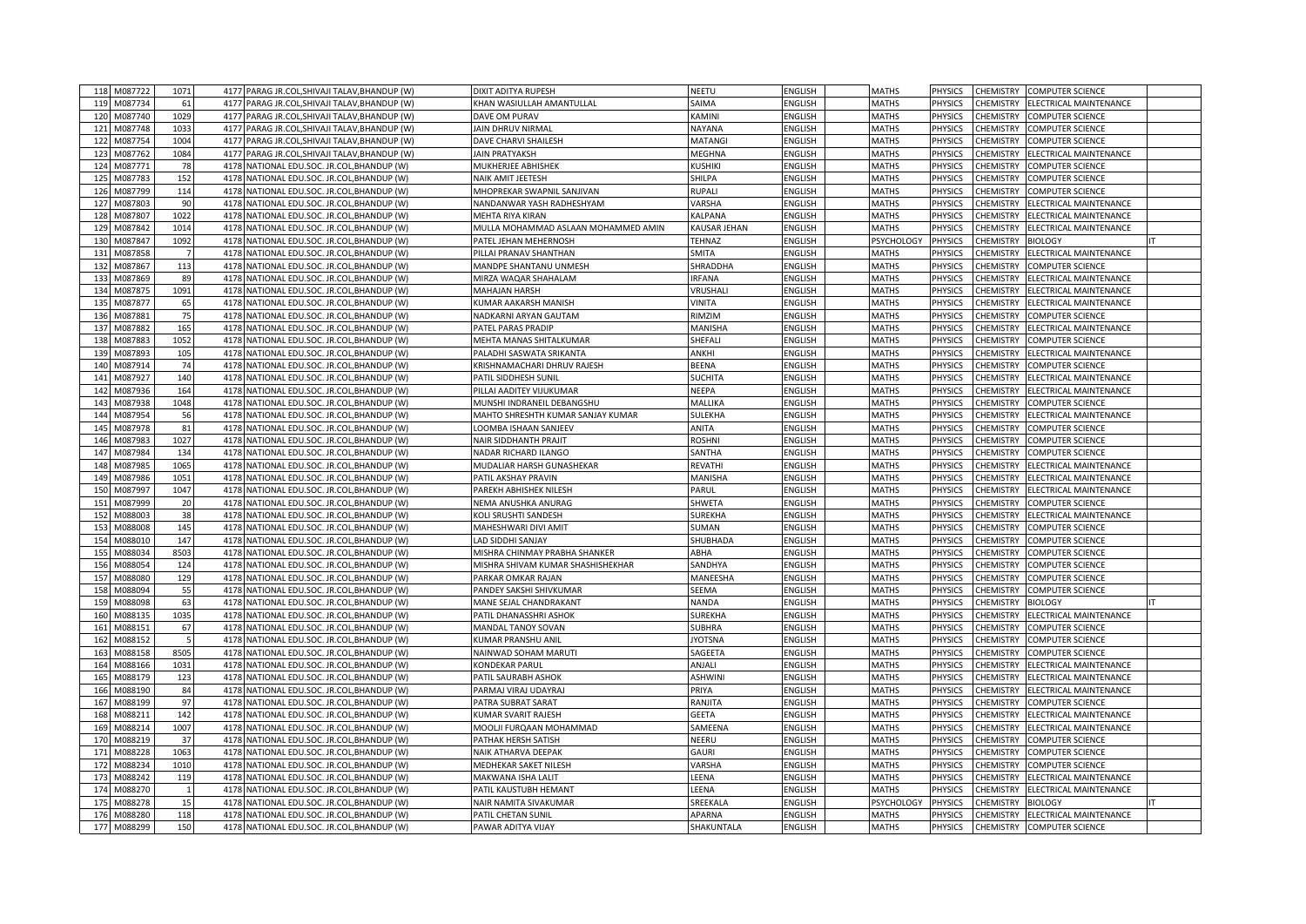| 118             | M087722     | 1071         | 4177 PARAG JR.COL, SHIVAJI TALAV, BHANDUP (W)    | DIXIT ADITYA RUPESH                 | NEETU          | <b>ENGLISH</b> | <b>MATHS</b>      | <b>PHYSICS</b> | <b>CHEMISTRY</b> | <b>COMPUTER SCIENCE</b> |  |
|-----------------|-------------|--------------|--------------------------------------------------|-------------------------------------|----------------|----------------|-------------------|----------------|------------------|-------------------------|--|
| 119             | M087734     | 61           | 4177 PARAG JR.COL, SHIVAJI TALAV, BHANDUP (W)    | KHAN WASIULLAH AMANTULLAL           | SAIMA          | <b>ENGLISH</b> | <b>MATHS</b>      | <b>PHYSICS</b> | CHEMISTRY        | ELECTRICAL MAINTENANCE  |  |
| 120             | M087740     | 1029         | 4177 PARAG JR.COL, SHIVAJI TALAV, BHANDUP (W)    | DAVE OM PURAV                       | KAMINI         | <b>ENGLISH</b> | <b>MATHS</b>      | <b>PHYSICS</b> | CHEMISTRY        | <b>COMPUTER SCIENCE</b> |  |
| 121             | M087748     | 1033         | 4177 PARAG JR.COL, SHIVAJI TALAV, BHANDUP (W)    | <b>JAIN DHRUV NIRMAL</b>            | NAYANA         | ENGLISH        | <b>MATHS</b>      | <b>PHYSICS</b> | CHEMISTRY        | <b>COMPUTER SCIENCE</b> |  |
| 122             | M087754     | 1004         | 4177<br>PARAG JR.COL, SHIVAJI TALAV, BHANDUP (W) | <b>DAVE CHARVI SHAILESH</b>         | <b>MATANG</b>  | <b>ENGLISH</b> | <b>MATHS</b>      | <b>PHYSICS</b> | CHEMISTRY        | <b>COMPUTER SCIENCE</b> |  |
| 123             | M087762     | 1084         | 4177 PARAG JR.COL, SHIVAJI TALAV, BHANDUP (W)    | <b>JAIN PRATYAKSH</b>               | MEGHNA         | ENGLISH        | <b>MATHS</b>      | PHYSICS        | CHEMISTRY        | ELECTRICAL MAINTENANCE  |  |
| 124             | M087771     | 78           | 4178<br>NATIONAL EDU.SOC. JR.COL, BHANDUP (W)    | MUKHERJEE ABHISHEK                  | <b>KUSHIKI</b> | <b>ENGLISH</b> | <b>MATHS</b>      | <b>PHYSICS</b> | CHEMISTRY        | COMPUTER SCIENCE        |  |
| 125             | M087783     | 152          | 4178<br>NATIONAL EDU.SOC. JR.COL, BHANDUP (W)    | NAIK AMIT JEETESH                   | SHILPA         | ENGLISH        | <b>MATHS</b>      | PHYSICS        | <b>CHEMISTRY</b> | <b>COMPUTER SCIENCE</b> |  |
| 126             | M087799     | 114          | 4178<br>NATIONAL EDU.SOC. JR.COL, BHANDUP (W)    | MHOPREKAR SWAPNIL SANJIVAN          | <b>RUPALI</b>  | <b>ENGLISH</b> | <b>MATHS</b>      | PHYSICS        | CHEMISTRY        | COMPUTER SCIENCE        |  |
| 127             | M087803     | 90           | 4178<br>NATIONAL EDU.SOC. JR.COL, BHANDUP (W)    | NANDANWAR YASH RADHESHYAM           | VARSHA         | ENGLISH        | <b>MATHS</b>      | PHYSICS        | CHEMISTRY        | ELECTRICAL MAINTENANCE  |  |
| 128             | M087807     | 1022         | 4178<br>NATIONAL EDU.SOC. JR.COL, BHANDUP (W)    | MEHTA RIYA KIRAN                    | KALPANA        | ENGLISH        | <b>MATHS</b>      | PHYSICS        | CHEMISTRY        | ELECTRICAL MAINTENANCE  |  |
| 129             | M087842     | 1014         | 4178<br>NATIONAL EDU.SOC. JR.COL, BHANDUP (W)    | MULLA MOHAMMAD ASLAAN MOHAMMED AMIN | KAUSAR JEHAN   | <b>ENGLISH</b> | <b>MATHS</b>      | PHYSICS        | CHEMISTRY        | ELECTRICAL MAINTENANCE  |  |
| 13 <sub>C</sub> | M087847     | 1092         | 4178<br>NATIONAL EDU.SOC. JR.COL, BHANDUP (W)    | PATEL JEHAN MEHERNOSH               | <b>TEHNAZ</b>  | <b>ENGLISH</b> | <b>PSYCHOLOGY</b> | <b>PHYSICS</b> | CHEMISTRY        | <b>BIOLOGY</b>          |  |
| 131             | M087858     |              | 4178<br>NATIONAL EDU.SOC. JR.COL, BHANDUP (W)    | PILLAI PRANAV SHANTHAN              | <b>SMITA</b>   | ENGLISH        | <b>MATHS</b>      | PHYSICS        | CHEMISTRY        | ELECTRICAL MAINTENANCE  |  |
| 132             | M087867     | 113          | 4178<br>NATIONAL EDU.SOC. JR.COL, BHANDUP (W)    | MANDPE SHANTANU UNMESH              | SHRADDHA       | ENGLISH        | <b>MATHS</b>      | PHYSICS        | <b>CHEMISTRY</b> | COMPUTER SCIENCE        |  |
| 133             | M087869     | 89           | 4178<br>NATIONAL EDU.SOC. JR.COL, BHANDUP (W)    | MIRZA WAQAR SHAHALAM                | <b>IRFANA</b>  | ENGLISH        | <b>MATHS</b>      | PHYSICS        | CHEMISTRY        | ELECTRICAL MAINTENANCE  |  |
| 134             | M087875     | 1091         | 4178<br>NATIONAL EDU.SOC. JR.COL, BHANDUP (W)    | <b>MAHAJAN HARSH</b>                | VRUSHAL        | <b>ENGLISH</b> | <b>MATHS</b>      | PHYSICS        | <b>CHEMISTRY</b> | ELECTRICAL MAINTENANCE  |  |
| 135             | M087877     | 65           | 4178<br>NATIONAL EDU.SOC. JR.COL, BHANDUP (W)    | <b>KUMAR AAKARSH MANISH</b>         | VINITA         | <b>ENGLISH</b> | <b>MATHS</b>      | PHYSICS        | CHEMISTRY        | ELECTRICAL MAINTENANCE  |  |
| 136             | M087881     | 75           | 4178 NATIONAL EDU.SOC. JR.COL, BHANDUP (W)       | NADKARNI ARYAN GAUTAM               | RIMZIM         | <b>ENGLISH</b> | <b>MATHS</b>      | PHYSICS        | CHEMISTRY        | COMPUTER SCIENCE        |  |
| 137             | M087882     | 165          | 4178<br>NATIONAL EDU.SOC. JR.COL, BHANDUP (W)    | PATEL PARAS PRADIP                  | MANISHA        | <b>ENGLISH</b> | <b>MATHS</b>      | PHYSICS        | CHEMISTRY        | ELECTRICAL MAINTENANCE  |  |
| 138             | M087883     | 1052         | 4178<br>NATIONAL EDU.SOC. JR.COL, BHANDUP (W)    | MEHTA MANAS SHITALKUMAR             | SHEFALI        | <b>ENGLISH</b> | <b>MATHS</b>      | <b>PHYSICS</b> | <b>CHEMISTRY</b> | COMPUTER SCIENCE        |  |
| 139             | M087893     | 105          | 4178 NATIONAL EDU.SOC. JR.COL, BHANDUP (W)       | PALADHI SASWATA SRIKANTA            | ANKHI          | <b>ENGLISH</b> | <b>MATHS</b>      | PHYSICS        | CHEMISTRY        | ELECTRICAL MAINTENANCE  |  |
| 140             | M087914     | 74           | 4178 NATIONAL EDU.SOC. JR.COL, BHANDUP (W)       | KRISHNAMACHARI DHRUV RAJESH         | <b>BEENA</b>   | <b>ENGLISH</b> | <b>MATHS</b>      | PHYSICS        | CHEMISTRY        | COMPUTER SCIENCE        |  |
| 141             | M087927     | 140          | 4178<br>NATIONAL EDU.SOC. JR.COL, BHANDUP (W)    | PATIL SIDDHESH SUNIL                | <b>SUCHITA</b> | <b>ENGLISH</b> | <b>MATHS</b>      | <b>PHYSICS</b> | CHEMISTRY        | ELECTRICAL MAINTENANCE  |  |
|                 |             |              | 4178                                             |                                     |                |                |                   |                |                  |                         |  |
| 142             | M087936     | 164          | NATIONAL EDU.SOC. JR.COL, BHANDUP (W)            | PILLAI AADITEY VIJUKUMAR            | NEEPA          | <b>ENGLISH</b> | <b>MATHS</b>      | PHYSICS        | CHEMISTRY        | ELECTRICAL MAINTENANCE  |  |
| 143             | M087938     | 1048         | 4178<br>NATIONAL EDU.SOC. JR.COL,BHANDUP (W)     | MUNSHI INDRANEIL DEBANGSHU          | MALLIKA        | <b>ENGLISH</b> | <b>MATHS</b>      | PHYSICS        | <b>HEMISTRY</b>  | COMPUTER SCIENCE        |  |
| 144             | M087954     | 56           | 4178 NATIONAL EDU.SOC. JR.COL, BHANDUP (W)       | MAHTO SHRESHTH KUMAR SANJAY KUMAR   | SULEKHA        | <b>ENGLISH</b> | <b>MATHS</b>      | PHYSICS        | CHEMISTRY        | ELECTRICAL MAINTENANCE  |  |
| 145             | M087978     | 81           | 4178<br>NATIONAL EDU.SOC. JR.COL, BHANDUP (W)    | LOOMBA ISHAAN SANJEEV               | ANITA          | <b>ENGLISH</b> | <b>MATHS</b>      | PHYSICS        | <b>HEMISTRY</b>  | COMPUTER SCIENCE        |  |
| 146             | M087983     | 1027         | 4178<br>NATIONAL EDU.SOC. JR.COL, BHANDUP (W)    | <b>NAIR SIDDHANTH PRAJIT</b>        | ROSHNI         | <b>ENGLISH</b> | <b>MATHS</b>      | PHYSICS        | CHEMISTRY        | COMPUTER SCIENCE        |  |
| 147             | M087984     | 134          | 4178<br>NATIONAL EDU.SOC. JR.COL, BHANDUP (W)    | NADAR RICHARD ILANGO                | SANTHA         | <b>ENGLISH</b> | <b>MATHS</b>      | PHYSICS        | <b>HEMISTRY</b>  | COMPUTER SCIENCE        |  |
| 148             | M087985     | 1065         | 4178<br>NATIONAL EDU.SOC. JR.COL, BHANDUP (W)    | MUDALIAR HARSH GUNASHEKAR           | REVATHI        | ENGLISH        | <b>MATHS</b>      | PHYSICS        | CHEMISTRY        | ELECTRICAL MAINTENANCE  |  |
| 149             | M087986     | 1051         | 4178<br>NATIONAL EDU.SOC. JR.COL, BHANDUP (W)    | PATIL AKSHAY PRAVIN                 | MANISHA        | <b>ENGLISH</b> | <b>MATHS</b>      | <b>PHYSICS</b> | CHEMISTRY        | ELECTRICAL MAINTENANCE  |  |
| 150             | M087997     | 1047         | 4178<br>NATIONAL EDU.SOC. JR.COL, BHANDUP (W)    | PAREKH ABHISHEK NILESH              | PARUL          | ENGLISH        | <b>MATHS</b>      | PHYSICS        | CHEMISTRY        | ELECTRICAL MAINTENANCE  |  |
| 151             | M087999     | 20           | 4178<br>NATIONAL EDU.SOC. JR.COL, BHANDUP (W)    | NEMA ANUSHKA ANURAG                 | SHWETA         | <b>ENGLISH</b> | <b>MATHS</b>      | PHYSICS        | CHEMISTRY        | COMPUTER SCIENCE        |  |
| 152             | M088003     | 38           | 4178<br>NATIONAL EDU.SOC. JR.COL, BHANDUP (W)    | KOLI SRUSHTI SANDESH                | <b>SUREKHA</b> | <b>ENGLISH</b> | <b>MATHS</b>      | PHYSICS        | CHEMISTRY        | ELECTRICAL MAINTENANCE  |  |
| 153             | M088008     | 145          | 4178<br>NATIONAL EDU.SOC. JR.COL, BHANDUP (W)    | MAHESHWARI DIVI AMIT                | SUMAN          | <b>ENGLISH</b> | <b>MATHS</b>      | <b>PHYSICS</b> | CHEMISTRY        | COMPUTER SCIENCE        |  |
| 154             | M088010     | 147          | 4178<br>NATIONAL EDU.SOC. JR.COL, BHANDUP (W)    | LAD SIDDHI SANJAY                   | SHUBHADA       | ENGLISH        | <b>MATHS</b>      | PHYSICS        | CHEMISTRY        | COMPUTER SCIENCE        |  |
| 155             | M088034     | 8503         | 4178<br>NATIONAL EDU.SOC. JR.COL, BHANDUP (W)    | MISHRA CHINMAY PRABHA SHANKER       | ABHA           | <b>ENGLISH</b> | <b>MATHS</b>      | <b>PHYSICS</b> | CHEMISTRY        | COMPUTER SCIENCE        |  |
| 156             | M088054     | 124          | 4178<br>NATIONAL EDU.SOC. JR.COL, BHANDUP (W)    | MISHRA SHIVAM KUMAR SHASHISHEKHAR   | SANDHYA        | ENGLISH        | <b>MATHS</b>      | PHYSICS        | CHEMISTRY        | COMPUTER SCIENCE        |  |
| 157             | M088080     | 129          | 4178<br>NATIONAL EDU.SOC. JR.COL, BHANDUP (W)    | PARKAR OMKAR RAJAN                  | MANEESHA       | <b>ENGLISH</b> | <b>MATHS</b>      | <b>PHYSICS</b> | CHEMISTRY        | COMPUTER SCIENCE        |  |
| 158             | M088094     | 55           | 4178<br>NATIONAL EDU.SOC. JR.COL, BHANDUP (W)    | PANDEY SAKSHI SHIVKUMAR             | SEEMA          | ENGLISH        | <b>MATHS</b>      | <b>PHYSICS</b> | CHEMISTRY        | <b>COMPUTER SCIENCE</b> |  |
| 159             | M088098     | 63           | 4178<br>NATIONAL EDU.SOC. JR.COL, BHANDUP (W)    | MANE SEJAL CHANDRAKANT              | <b>NANDA</b>   | <b>ENGLISH</b> | <b>MATHS</b>      | <b>PHYSICS</b> | CHEMISTRY        | <b>BIOLOGY</b>          |  |
| 160             | M088135     | 1035         | 4178<br>NATIONAL EDU.SOC. JR.COL, BHANDUP (W)    | PATIL DHANASSHRI ASHOK              | SUREKHA        | ENGLISH        | <b>MATHS</b>      | PHYSICS        | CHEMISTRY        | ELECTRICAL MAINTENANCE  |  |
| 161             | M088151     | 67           | 4178<br>NATIONAL EDU.SOC. JR.COL, BHANDUP (W)    | <b>MANDAL TANOY SOVAN</b>           | <b>SUBHRA</b>  | <b>ENGLISH</b> | <b>MATHS</b>      | <b>PHYSICS</b> | CHEMISTRY        | COMPUTER SCIENCE        |  |
| 162             | M088152     | 5            | 4178<br>NATIONAL EDU.SOC. JR.COL, BHANDUP (W)    | KUMAR PRANSHU ANIL                  | <b>IYOTSNA</b> | ENGLISH        | <b>MATHS</b>      | <b>PHYSICS</b> | CHEMISTRY        | COMPUTER SCIENCE        |  |
| 163             | M088158     | 8505         | 4178<br>NATIONAL EDU.SOC. JR.COL, BHANDUP (W)    | NAINWAD SOHAM MARUTI                | SAGEETA        | <b>ENGLISH</b> | <b>MATHS</b>      | <b>PHYSICS</b> | <b>CHEMISTRY</b> | COMPUTER SCIENCE        |  |
| 164             | M088166     | 1031         | 4178<br>NATIONAL EDU.SOC. JR.COL, BHANDUP (W)    | KONDEKAR PARUL                      | ANJALI         | ENGLISH        | <b>MATHS</b>      | PHYSICS        | CHEMISTRY        | ELECTRICAL MAINTENANCE  |  |
| 165             | M088179     | 123          | 4178<br>NATIONAL EDU.SOC. JR.COL, BHANDUP (W)    | PATIL SAURABH ASHOK                 | <b>ASHWIN</b>  | <b>ENGLISH</b> | <b>MATHS</b>      | PHYSICS        | <b>CHEMISTRY</b> | ELECTRICAL MAINTENANCE  |  |
| 166             | M088190     | 84           | 4178<br>NATIONAL EDU.SOC. JR.COL, BHANDUP (W)    | PARMAJ VIRAJ UDAYRAJ                | PRIYA          | ENGLISH        | <b>MATHS</b>      | PHYSICS        | CHEMISTRY        | ELECTRICAL MAINTENANCE  |  |
| 167             | M088199     | 97           | 4178<br>NATIONAL EDU.SOC. JR.COL, BHANDUP (W)    | PATRA SUBRAT SARAT                  | RANJITA        | <b>ENGLISH</b> | <b>MATHS</b>      | PHYSICS        | CHEMISTRY        | COMPUTER SCIENCE        |  |
| 168             | M088211     | 142          | 4178<br>NATIONAL EDU.SOC. JR.COL, BHANDUP (W)    | <b>(UMAR SVARIT RAJESH</b>          | <b>GEETA</b>   | ENGLISH        | <b>MATHS</b>      | PHYSICS        | <b>CHEMISTRY</b> | ELECTRICAL MAINTENANCE  |  |
| 169             | M088214     | 1007         | 4178<br>NATIONAL EDU.SOC. JR.COL.BHANDUP (W)     | MOOLJI FURQAAN MOHAMMAD             | SAMEENA        | <b>ENGLISH</b> | <b>MATHS</b>      | PHYSICS        | CHEMISTRY        | ELECTRICAL MAINTENANCE  |  |
| 170             | M088219     | 37           | 4178<br>NATIONAL EDU.SOC. JR.COL, BHANDUP (W)    | PATHAK HERSH SATISH                 | NEERU          | ENGLISH        | <b>MATHS</b>      | PHYSICS        | CHEMISTRY        | COMPUTER SCIENCE        |  |
| 171             | M088228     | 1063         | 4178<br>NATIONAL EDU.SOC. JR.COL, BHANDUP (W)    | NAIK ATHARVA DEEPAK                 | GAURI          | <b>ENGLISH</b> | <b>MATHS</b>      | PHYSICS        | CHEMISTRY        | COMPUTER SCIENCE        |  |
| 172             | M088234     | 1010         | 4178<br>NATIONAL EDU.SOC. JR.COL.BHANDUP (W)     | MEDHEKAR SAKET NILESH               | VARSHA         | <b>ENGLISH</b> | <b>MATHS</b>      | PHYSICS        | CHEMISTRY        | COMPUTER SCIENCE        |  |
| 173             | M088242     | 119          | 4178<br>NATIONAL EDU.SOC. JR.COL, BHANDUP (W)    | MAKWANA ISHA LALIT                  | LEENA          | <b>ENGLISH</b> | <b>MATHS</b>      | PHYSICS        | CHEMISTRY        | ELECTRICAL MAINTENANCE  |  |
| 174             | M088270     | $\mathbf{1}$ | 4178<br>NATIONAL EDU.SOC. JR.COL.BHANDUP (W)     | PATIL KAUSTUBH HEMANT               | LEENA          | ENGLISH        | <b>MATHS</b>      | PHYSICS        | <b>CHEMISTRY</b> | ELECTRICAL MAINTENANCE  |  |
| 175             | M088278     | 15           | 4178<br>NATIONAL EDU.SOC. JR.COL, BHANDUP (W)    | NAIR NAMITA SIVAKUMAR               | SREEKALA       | <b>ENGLISH</b> | PSYCHOLOGY        | PHYSICS        | CHEMISTRY        | <b>BIOLOGY</b>          |  |
| 176             | M088280     | 118          | 4178<br>NATIONAL EDU.SOC. JR.COL.BHANDUP (W)     | PATIL CHETAN SUNIL                  | APARNA         | ENGLISH        | <b>MATHS</b>      | PHYSICS        | CHEMISTRY        | ELECTRICAL MAINTENANCE  |  |
|                 | 177 M088299 | 150          | 4178 NATIONAL EDU.SOC. JR.COL, BHANDUP (W)       | PAWAR ADITYA VIJAY                  | SHAKUNTALA     | <b>ENGLISH</b> | <b>MATHS</b>      | <b>PHYSICS</b> | CHEMISTRY        | <b>COMPUTER SCIENCE</b> |  |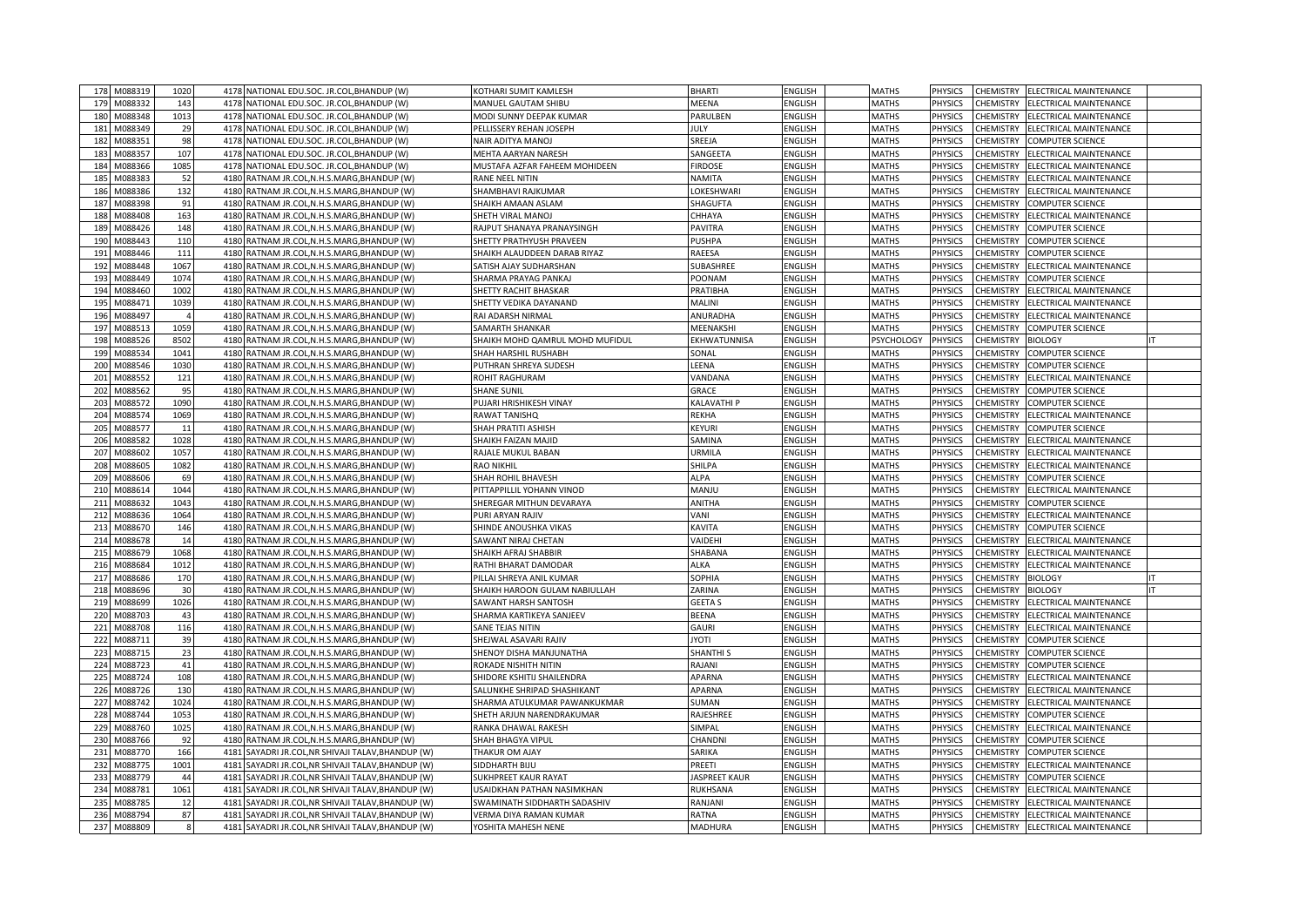| 178 | M088319 | 1020           | 4178 NATIONAL EDU.SOC. JR.COL, BHANDUP (W)                                                          | KOTHARI SUMIT KAMLESH             | <b>BHARTI</b>    | <b>ENGLISH</b> | <b>MATHS</b> | <b>PHYSICS</b> | CHEMISTRY        | ELECTRICAL MAINTENANCE  |  |
|-----|---------|----------------|-----------------------------------------------------------------------------------------------------|-----------------------------------|------------------|----------------|--------------|----------------|------------------|-------------------------|--|
| 179 | M088332 | 143            | 4178 NATIONAL EDU.SOC. JR.COL, BHANDUP (W)                                                          | MANUEL GAUTAM SHIBU               | MEENA            | <b>ENGLISH</b> | <b>MATHS</b> | <b>PHYSICS</b> | CHEMISTRY        | ELECTRICAL MAINTENANCE  |  |
| 180 | M088348 | 1013           | 4178<br>NATIONAL EDU.SOC. JR.COL, BHANDUP (W)                                                       | MODI SUNNY DEEPAK KUMAR           | PARULBEN         | <b>ENGLISH</b> | <b>MATHS</b> | <b>PHYSICS</b> | CHEMISTRY        | ELECTRICAL MAINTENANCE  |  |
| 181 | M088349 | 29             | 4178 NATIONAL EDU.SOC. JR.COL, BHANDUP (W)                                                          | PELLISSERY REHAN JOSEPH           | <b>JULY</b>      | ENGLISH        | <b>MATHS</b> | <b>PHYSICS</b> | CHEMISTRY        | ELECTRICAL MAINTENANCE  |  |
| 182 | M088351 | 98             | 4178<br>NATIONAL EDU.SOC. JR.COL, BHANDUP (W)                                                       | NAIR ADITYA MANOJ                 | SREEJA           | <b>ENGLISH</b> | <b>MATHS</b> | <b>PHYSICS</b> | CHEMISTRY        | <b>COMPUTER SCIENCE</b> |  |
| 183 | M088357 | 107            | 4178 NATIONAL EDU.SOC. JR.COL, BHANDUP (W)                                                          | MEHTA AARYAN NARESH               | SANGEETA         | ENGLISH        | <b>MATHS</b> | PHYSICS        | CHEMISTRY        | ELECTRICAL MAINTENANCE  |  |
| 184 | M088366 | 1085           | 4178<br>NATIONAL EDU.SOC. JR.COL, BHANDUP (W)                                                       | MUSTAFA AZFAR FAHEEM MOHIDEEN     | <b>FIRDOSE</b>   | <b>ENGLISH</b> | <b>MATHS</b> | <b>PHYSICS</b> | CHEMISTRY        | ELECTRICAL MAINTENANCE  |  |
| 185 | M088383 | 52             | 4180<br>RATNAM JR.COL,N.H.S.MARG,BHANDUP (W)                                                        | RANE NEEL NITIN                   | NAMITA           | ENGLISH        | <b>MATHS</b> | <b>PHYSICS</b> | CHEMISTRY        | ELECTRICAL MAINTENANCE  |  |
| 186 | M088386 | 132            | 4180<br>RATNAM JR.COL, N.H.S.MARG, BHANDUP (W)                                                      | SHAMBHAVI RAJKUMAR                | LOKESHWARI       | <b>ENGLISH</b> | <b>MATHS</b> | PHYSICS        | CHEMISTRY        | ELECTRICAL MAINTENANCE  |  |
| 18  | M088398 | 91             | 4180<br>RATNAM JR.COL, N.H.S.MARG, BHANDUP (W)                                                      | SHAIKH AMAAN ASLAM                | SHAGUFTA         | ENGLISH        | <b>MATHS</b> | PHYSICS        | CHEMISTRY        | COMPUTER SCIENCE        |  |
| 188 | M088408 | 163            | 4180<br>RATNAM JR.COL, N.H.S.MARG, BHANDUP (W)                                                      | SHETH VIRAL MANOJ                 | CHHAYA           | ENGLISH        | <b>MATHS</b> | PHYSICS        | <b>CHEMISTRY</b> | ELECTRICAL MAINTENANCE  |  |
| 189 | M088426 | 148            | 4180<br>RATNAM JR.COL, N.H.S.MARG, BHANDUP (W)                                                      | RAJPUT SHANAYA PRANAYSINGH        | <b>PAVITRA</b>   | ENGLISH        | <b>MATHS</b> | PHYSICS        | <b>CHEMISTRY</b> | <b>COMPUTER SCIENCE</b> |  |
| 190 | M088443 | 110            | 4180<br>RATNAM JR.COL, N.H.S.MARG, BHANDUP (W)                                                      | SHETTY PRATHYUSH PRAVEEN          | PUSHPA           | <b>ENGLISH</b> | <b>MATHS</b> | PHYSICS        | CHEMISTRY        | COMPUTER SCIENCE        |  |
| 191 | M088446 | 111            | 4180<br>RATNAM JR.COL, N.H.S.MARG, BHANDUP (W)                                                      | SHAIKH ALAUDDEEN DARAB RIYAZ      | RAEESA           | ENGLISH        | <b>MATHS</b> | PHYSICS        | CHEMISTRY        | COMPUTER SCIENCE        |  |
| 192 | M088448 | 1067           | 4180<br>RATNAM JR.COL, N.H.S.MARG, BHANDUP (W)                                                      | SATISH AJAY SUDHARSHAN            | SUBASHREE        | ENGLISH        | <b>MATHS</b> | PHYSICS        | <b>CHEMISTRY</b> | ELECTRICAL MAINTENANCE  |  |
| 193 | M088449 | 1074           | 4180<br>RATNAM JR.COL, N.H.S.MARG, BHANDUP (W)                                                      | SHARMA PRAYAG PANKAJ              | POONAM           | ENGLISH        | <b>MATHS</b> | PHYSICS        | CHEMISTRY        | COMPUTER SCIENCE        |  |
| 194 | M088460 | 1002           | 4180<br>RATNAM JR.COL, N.H.S.MARG, BHANDUP (W)                                                      | SHETTY RACHIT BHASKAR             | PRATIBHA         | ENGLISH        | <b>MATHS</b> | PHYSICS        | <b>CHEMISTRY</b> | ELECTRICAL MAINTENANCE  |  |
| 195 | M088471 | 1039           | 4180<br>RATNAM JR.COL, N.H.S.MARG, BHANDUP (W)                                                      | SHETTY VEDIKA DAYANAND            | MALINI           | ENGLISH        | <b>MATHS</b> | PHYSICS        | CHEMISTRY        | ELECTRICAL MAINTENANCE  |  |
| 196 | M088497 | $\overline{4}$ | 4180<br>RATNAM JR.COL, N.H.S.MARG, BHANDUP (W)                                                      | RAI ADARSH NIRMAL                 | ANURADHA         | <b>ENGLISH</b> | <b>MATHS</b> | PHYSICS        | CHEMISTRY        | ELECTRICAL MAINTENANCE  |  |
| 197 | M088513 | 1059           | 4180<br>RATNAM JR.COL, N.H.S.MARG, BHANDUP (W)                                                      | SAMARTH SHANKAR                   | MEENAKSHI        | <b>ENGLISH</b> | <b>MATHS</b> | PHYSICS        | CHEMISTRY        | COMPUTER SCIENCE        |  |
| 198 | M088526 | 8502           | 4180<br>RATNAM JR.COL, N.H.S.MARG, BHANDUP (W)                                                      | SHAIKH MOHD QAMRUL MOHD MUFIDUL   | EKHWATUNNISA     | <b>ENGLISH</b> | PSYCHOLOGY   | <b>PHYSICS</b> | CHEMISTRY        | <b>BIOLOGY</b>          |  |
| 199 | M088534 | 1041           | RATNAM JR.COL, N.H.S.MARG, BHANDUP (W)<br>4180                                                      | SHAH HARSHIL RUSHABH              | SONAL            | <b>ENGLISH</b> | <b>MATHS</b> | PHYSICS        | CHEMISTRY        | COMPUTER SCIENCE        |  |
| 200 | M088546 | 1030           | 4180<br>RATNAM JR.COL, N.H.S.MARG, BHANDUP (W)                                                      | PUTHRAN SHREYA SUDESH             | LEENA            | <b>ENGLISH</b> | <b>MATHS</b> | PHYSICS        | CHEMISTRY        | COMPUTER SCIENCE        |  |
| 201 | M088552 | 121            | RATNAM JR.COL,N.H.S.MARG,BHANDUP (W)<br>4180                                                        | ROHIT RAGHURAM                    | VANDANA          | <b>ENGLISH</b> | <b>MATHS</b> | <b>PHYSICS</b> | CHEMISTRY        | ELECTRICAL MAINTENANCE  |  |
| 202 | M088562 | 95             | 4180<br>RATNAM JR.COL,N.H.S.MARG,BHANDUP (W)                                                        | <b>SHANE SUNII</b>                | GRACE            | <b>ENGLISH</b> | <b>MATHS</b> | PHYSICS        | CHEMISTRY        | COMPUTER SCIENCE        |  |
| 203 | M088572 | 1090           | 4180<br>RATNAM JR.COL,N.H.S.MARG,BHANDUP (W)                                                        | PUJARI HRISHIKESH VINAY           | KALAVATHI P      | ENGLISH        | <b>MATHS</b> | PHYSICS        | <b>HEMISTRY</b>  | COMPUTER SCIENCE        |  |
| 204 | M088574 | 1069           | RATNAM JR.COL, N.H.S.MARG, BHANDUP (W)<br>4180                                                      | RAWAT TANISHQ                     | REKHA            | ENGLISH        | <b>MATHS</b> | PHYSICS        | <b>CHEMISTRY</b> | ELECTRICAL MAINTENANCE  |  |
| 205 | M08857  | 11             | 4180<br>RATNAM JR.COL,N.H.S.MARG,BHANDUP (W)                                                        | SHAH PRATITI ASHISH               | KEYURI           | <b>ENGLISH</b> | <b>MATHS</b> | <b>PHYSICS</b> | <b>HEMISTRY</b>  | COMPUTER SCIENCE        |  |
| 206 | M088582 | 1028           | 4180<br>RATNAM JR.COL, N.H.S.MARG, BHANDUP (W)                                                      | SHAIKH FAIZAN MAJID               | SAMINA           | <b>ENGLISH</b> | <b>MATHS</b> | PHYSICS        | <b>CHEMISTRY</b> | ELECTRICAL MAINTENANCE  |  |
| 207 | M088602 | 1057           | 4180<br>RATNAM JR.COL,N.H.S.MARG,BHANDUP (W)                                                        | RAJALE MUKUL BABAN                | URMILA           | <b>ENGLISH</b> | <b>MATHS</b> | PHYSICS        | <b>HEMISTRY</b>  | ELECTRICAL MAINTENANCE  |  |
| 208 | M088605 | 1082           | 4180<br>RATNAM JR.COL, N.H.S.MARG, BHANDUP (W)                                                      | <b>RAO NIKHIL</b>                 | SHILPA           | ENGLISH        | <b>MATHS</b> | PHYSICS        | <b>HEMISTRY</b>  | ELECTRICAL MAINTENANCE  |  |
| 209 | M088606 | 69             | 4180<br>RATNAM JR.COL, N.H.S.MARG, BHANDUP (W)                                                      | SHAH ROHIL BHAVESH                | <b>ALPA</b>      | <b>ENGLISH</b> | <b>MATHS</b> | <b>PHYSICS</b> | CHEMISTRY        | COMPUTER SCIENCE        |  |
| 210 | M088614 | 1044           | RATNAM JR.COL, N.H.S.MARG, BHANDUP (W)<br>4180                                                      | PITTAPPILLIL YOHANN VINOD         | MANJU            | ENGLISH        | <b>MATHS</b> | PHYSICS        | <b>CHEMISTRY</b> | ELECTRICAL MAINTENANCE  |  |
| 211 | M088632 | 1043           | 4180<br>RATNAM JR.COL, N.H.S.MARG, BHANDUP (W)                                                      | SHEREGAR MITHUN DEVARAYA          | ANITHA           | <b>ENGLISH</b> | <b>MATHS</b> | PHYSICS        | CHEMISTRY        | COMPUTER SCIENCE        |  |
| 212 | M088636 | 1064           | 4180 RATNAM JR.COL, N.H.S.MARG, BHANDUP (W)                                                         | PURI ARYAN RAJIV                  | VANI             | <b>ENGLISH</b> | <b>MATHS</b> | PHYSICS        | CHEMISTRY        | ELECTRICAL MAINTENANCE  |  |
| 213 | M088670 | 146            | 4180<br>RATNAM JR.COL, N.H.S.MARG, BHANDUP (W)                                                      | SHINDE ANOUSHKA VIKAS             | <b>KAVITA</b>    | <b>ENGLISH</b> | <b>MATHS</b> | <b>PHYSICS</b> | CHEMISTRY        | COMPUTER SCIENCE        |  |
| 214 | M088678 | 14             | RATNAM JR.COL, N.H.S.MARG, BHANDUP (W)<br>4180                                                      | SAWANT NIRAJ CHETAN               | VAIDEHI          | ENGLISH        | <b>MATHS</b> | PHYSICS        | CHEMISTRY        | ELECTRICAL MAINTENANCE  |  |
| 215 | M088679 | 1068           | 4180<br>RATNAM JR.COL, N.H.S.MARG, BHANDUP (W)                                                      | SHAIKH AFRAJ SHABBIR              | SHABANA          | <b>ENGLISH</b> | <b>MATHS</b> | PHYSICS        | CHEMISTRY        | ELECTRICAL MAINTENANCE  |  |
| 216 | M088684 | 1012           | 4180<br>RATNAM JR.COL, N.H.S.MARG, BHANDUP (W)                                                      | RATHI BHARAT DAMODAR              | <b>ALKA</b>      | ENGLISH        | <b>MATHS</b> | PHYSICS        | CHEMISTRY        | ELECTRICAL MAINTENANCE  |  |
| 217 | M088686 | 170            | 4180<br>RATNAM JR.COL, N.H.S.MARG, BHANDUP (W)                                                      | PILLAI SHREYA ANIL KUMAR          | SOPHIA           | <b>ENGLISH</b> | <b>MATHS</b> | <b>PHYSICS</b> | CHEMISTRY        | <b>BIOLOGY</b>          |  |
| 218 | M088696 | 30             | 4180<br>RATNAM JR.COL, N.H.S.MARG, BHANDUP (W)                                                      | SHAIKH HAROON GULAM NABIULLAH     | ZARINA           | ENGLISH        | <b>MATHS</b> | PHYSICS        | <b>CHEMISTRY</b> | <b>BIOLOGY</b>          |  |
| 219 | M088699 | 1026           | 4180<br>RATNAM JR.COL, N.H.S.MARG, BHANDUP (W)                                                      | SAWANT HARSH SANTOSH              | <b>GEETAS</b>    | <b>ENGLISH</b> | <b>MATHS</b> | PHYSICS        | CHEMISTRY        | ELECTRICAL MAINTENANCE  |  |
| 220 | M088703 | 43             | 4180<br>RATNAM JR.COL, N.H.S.MARG, BHANDUP (W)                                                      | SHARMA KARTIKEYA SANJEEV          | BEENA            | ENGLISH        | <b>MATHS</b> | PHYSICS        | CHEMISTRY        | ELECTRICAL MAINTENANCE  |  |
| 221 | M088708 | 116            | 4180<br>RATNAM JR.COL, N.H.S.MARG, BHANDUP (W)                                                      | <b>SANE TEJAS NITIN</b>           | <b>GAURI</b>     | <b>ENGLISH</b> | <b>MATHS</b> | <b>PHYSICS</b> | CHEMISTRY        | ELECTRICAL MAINTENANCE  |  |
| 222 | M088711 | 39             | 4180<br>RATNAM JR.COL, N.H.S.MARG, BHANDUP (W)                                                      | SHEJWAL ASAVARI RAJIV             | IYOTI            | ENGLISH        | <b>MATHS</b> | <b>PHYSICS</b> | CHEMISTRY        | COMPUTER SCIENCE        |  |
| 223 | M088715 | 23             | 4180<br>RATNAM JR.COL, N.H.S.MARG, BHANDUP (W)                                                      | SHENOY DISHA MANJUNATHA           | <b>SHANTHI S</b> | <b>ENGLISH</b> | <b>MATHS</b> | PHYSICS        | CHEMISTRY        | COMPUTER SCIENCE        |  |
| 224 | M088723 | 41             | RATNAM JR.COL,N.H.S.MARG,BHANDUP (W)<br>4180                                                        | ROKADE NISHITH NITIN              | RAJANI           | ENGLISH        | <b>MATHS</b> | PHYSICS        | CHEMISTRY        | <b>COMPUTER SCIENCE</b> |  |
| 225 | M088724 | 108            | 4180<br>RATNAM JR.COL, N.H.S.MARG, BHANDUP (W)                                                      | SHIDORE KSHITIJ SHAILENDRA        | <b>APARNA</b>    | <b>ENGLISH</b> | <b>MATHS</b> | PHYSICS        | CHEMISTRY        | ELECTRICAL MAINTENANCE  |  |
| 226 | M088726 | 130            | RATNAM JR.COL, N.H.S.MARG, BHANDUP (W)<br>4180                                                      | SALUNKHE SHRIPAD SHASHIKANT       | APARNA           | ENGLISH        | <b>MATHS</b> | PHYSICS        | <b>CHEMISTRY</b> | ELECTRICAL MAINTENANCE  |  |
| 227 | M088742 | 1024           | 4180<br>RATNAM JR.COL, N.H.S.MARG, BHANDUP (W)                                                      | SHARMA ATULKUMAR PAWANKUKMAR      | SUMAN            | <b>ENGLISH</b> | <b>MATHS</b> | PHYSICS        | CHEMISTRY        | ELECTRICAL MAINTENANCE  |  |
| 228 | M088744 | 1053           | RATNAM JR.COL, N.H.S.MARG, BHANDUP (W)<br>4180                                                      | SHETH ARJUN NARENDRAKUMAR         | RAJESHREE        | ENGLISH        | <b>MATHS</b> | PHYSICS        | <b>CHEMISTRY</b> | COMPUTER SCIENCE        |  |
| 229 | M088760 | 1025           | 4180<br>RATNAM JR.COL, N.H.S.MARG, BHANDUP (W)                                                      | RANKA DHAWAL RAKESH               | <b>SIMPAL</b>    | <b>ENGLISH</b> | <b>MATHS</b> | PHYSICS        | CHEMISTRY        | ELECTRICAL MAINTENANCE  |  |
| 230 | M088766 | 92             | 4180<br>RATNAM JR.COL, N.H.S.MARG, BHANDUP (W)                                                      | SHAH BHAGYA VIPUL                 | CHANDNI          | ENGLISH        | <b>MATHS</b> | PHYSICS        | CHEMISTRY        | COMPUTER SCIENCE        |  |
| 231 | M088770 | 166            | 4181<br>SAYADRI JR.COL, NR SHIVAJI TALAV, BHANDUP (W)                                               | THAKUR OM AJAY                    | SARIKA           | <b>ENGLISH</b> | <b>MATHS</b> | PHYSICS        | CHEMISTRY        | COMPUTER SCIENCE        |  |
| 232 | M088775 | 1001           | 4181<br>SAYADRI JR.COL, NR SHIVAJI TALAV, BHANDUP (W)                                               | SIDDHARTH BIJU                    | PREETI           | <b>ENGLISH</b> | <b>MATHS</b> | PHYSICS        | <b>CHEMISTRY</b> | ELECTRICAL MAINTENANCE  |  |
| 233 | M088779 | 44             | 4181 SAYADRI JR.COL, NR SHIVAJI TALAV, BHANDUP (W)                                                  | <b>SUKHPREET KAUR RAYAT</b>       | JASPREET KAUR    | <b>ENGLISH</b> | <b>MATHS</b> | PHYSICS        | CHEMISTRY        | COMPUTER SCIENCE        |  |
| 234 | M088781 | 1061           | 4181<br>SAYADRI JR.COL, NR SHIVAJI TALAV, BHANDUP (W)                                               | <b>JSAIDKHAN PATHAN NASIMKHAN</b> | <b>RUKHSANA</b>  | <b>ENGLISH</b> | <b>MATHS</b> | PHYSICS        | <b>CHEMISTRY</b> | ELECTRICAL MAINTENANCE  |  |
| 235 | M088785 | 12             | 4181<br>SAYADRI JR.COL, NR SHIVAJI TALAV, BHANDUP (W)                                               | SWAMINATH SIDDHARTH SADASHIV      | RANJANI          | <b>ENGLISH</b> | <b>MATHS</b> | PHYSICS        | CHEMISTRY        | ELECTRICAL MAINTENANCE  |  |
| 236 | M088794 | 87             | 4181                                                                                                | VERMA DIYA RAMAN KUMAR            | RATNA            | ENGLISH        | <b>MATHS</b> | PHYSICS        | CHEMISTRY        | ELECTRICAL MAINTENANCE  |  |
|     |         | 8              | SAYADRI JR.COL, NR SHIVAJI TALAV, BHANDUP (W)<br>4181 SAYADRI JR.COL, NR SHIVAJI TALAV, BHANDUP (W) | YOSHITA MAHESH NENE               | MADHURA          | <b>ENGLISH</b> | <b>MATHS</b> | PHYSICS        | CHEMISTRY        | ELECTRICAL MAINTENANCE  |  |
| 237 | M088809 |                |                                                                                                     |                                   |                  |                |              |                |                  |                         |  |